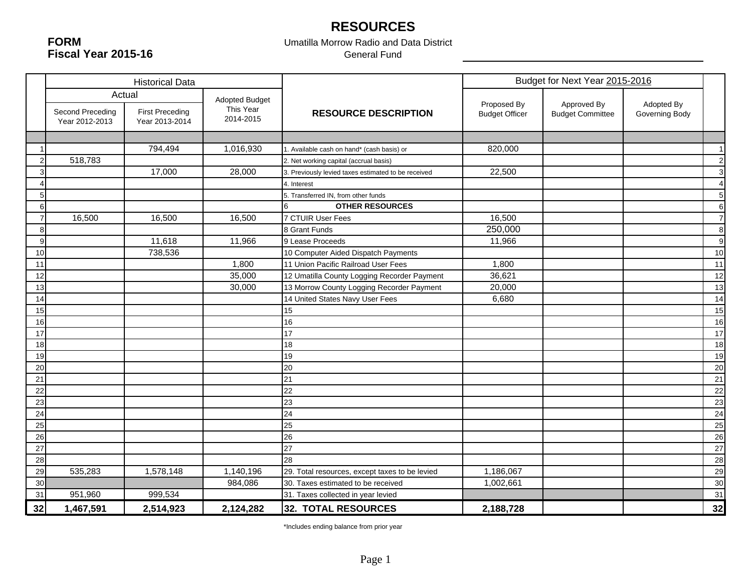# **RESOURCES**

**FORMFiscal Year 2015-16**

#### Umatilla Morrow Radio and Data District General Fund

|                |                                    | <b>Historical Data</b>                   |                        | Budget for Next Year 2015-2016                      |                                      |                                        |                              |                  |
|----------------|------------------------------------|------------------------------------------|------------------------|-----------------------------------------------------|--------------------------------------|----------------------------------------|------------------------------|------------------|
|                |                                    | Actual                                   | <b>Adopted Budget</b>  |                                                     |                                      |                                        |                              |                  |
|                | Second Preceding<br>Year 2012-2013 | <b>First Preceding</b><br>Year 2013-2014 | This Year<br>2014-2015 | <b>RESOURCE DESCRIPTION</b>                         | Proposed By<br><b>Budget Officer</b> | Approved By<br><b>Budget Committee</b> | Adopted By<br>Governing Body |                  |
|                |                                    |                                          |                        |                                                     |                                      |                                        |                              |                  |
|                |                                    | 794,494                                  | 1,016,930              | 1. Available cash on hand* (cash basis) or          | 820,000                              |                                        |                              | $\mathbf{1}$     |
| 2              | 518,783                            |                                          |                        | 2. Net working capital (accrual basis)              |                                      |                                        |                              | $\overline{2}$   |
| Э              |                                    | 17,000                                   | 28,000                 | 3. Previously levied taxes estimated to be received | 22,500                               |                                        |                              | 3                |
|                |                                    |                                          |                        | 4. Interest                                         |                                      |                                        |                              | $\overline{4}$   |
| 5              |                                    |                                          |                        | 5. Transferred IN, from other funds                 |                                      |                                        |                              | $\sqrt{5}$       |
| 6              |                                    |                                          |                        | <b>OTHER RESOURCES</b>                              |                                      |                                        |                              | $\,6\,$          |
| $\overline{7}$ | 16,500                             | 16,500                                   | 16,500                 | 7 CTUIR User Fees                                   | 16,500                               |                                        |                              | $\overline{7}$   |
| 8              |                                    |                                          |                        | 8 Grant Funds                                       | 250,000                              |                                        |                              | $\bf8$           |
| 9              |                                    | 11,618                                   | 11,966                 | 9 Lease Proceeds                                    | 11,966                               |                                        |                              | $\boldsymbol{9}$ |
| 10             |                                    | 738,536                                  |                        | 10 Computer Aided Dispatch Payments                 |                                      |                                        |                              | 10               |
| 11             |                                    |                                          | 1,800                  | 11 Union Pacific Railroad User Fees                 | 1,800                                |                                        |                              | 11               |
| 12             |                                    |                                          | 35,000                 | 12 Umatilla County Logging Recorder Payment         | 36,621                               |                                        |                              | 12               |
| 13             |                                    |                                          | 30,000                 | 13 Morrow County Logging Recorder Payment           | 20,000                               |                                        |                              | 13               |
| 14             |                                    |                                          |                        | 14 United States Navy User Fees                     | 6,680                                |                                        |                              | 14               |
| 15             |                                    |                                          |                        | 15                                                  |                                      |                                        |                              | 15               |
| 16             |                                    |                                          |                        | 16                                                  |                                      |                                        |                              | 16               |
| 17             |                                    |                                          |                        | 17                                                  |                                      |                                        |                              | 17               |
| 18             |                                    |                                          |                        | 18                                                  |                                      |                                        |                              | 18               |
| 19             |                                    |                                          |                        | 19                                                  |                                      |                                        |                              | 19               |
| 20             |                                    |                                          |                        | 20                                                  |                                      |                                        |                              | 20               |
| 21             |                                    |                                          |                        | 21                                                  |                                      |                                        |                              | 21               |
| 22             |                                    |                                          |                        | 22                                                  |                                      |                                        |                              | 22               |
| 23             |                                    |                                          |                        | 23                                                  |                                      |                                        |                              | 23               |
| 24             |                                    |                                          |                        | 24                                                  |                                      |                                        |                              | 24               |
| 25             |                                    |                                          |                        | 25                                                  |                                      |                                        |                              | 25               |
| 26             |                                    |                                          |                        | 26                                                  |                                      |                                        |                              | 26               |
| 27             |                                    |                                          |                        | 27                                                  |                                      |                                        |                              | 27               |
| 28             |                                    |                                          |                        | 28                                                  |                                      |                                        |                              | 28               |
| 29             | 535,283                            | 1,578,148                                | 1,140,196              | 29. Total resources, except taxes to be levied      | 1,186,067                            |                                        |                              | 29               |
| 30             |                                    |                                          | 984,086                | 30. Taxes estimated to be received                  | 1,002,661                            |                                        |                              | 30               |
| 31             | 951,960                            | 999,534                                  |                        | 31. Taxes collected in year levied                  |                                      |                                        |                              | 31               |
| 32             | 1,467,591                          | 2,514,923                                | 2,124,282              | 32. TOTAL RESOURCES                                 | 2,188,728                            |                                        |                              | 32               |

\*Includes ending balance from prior year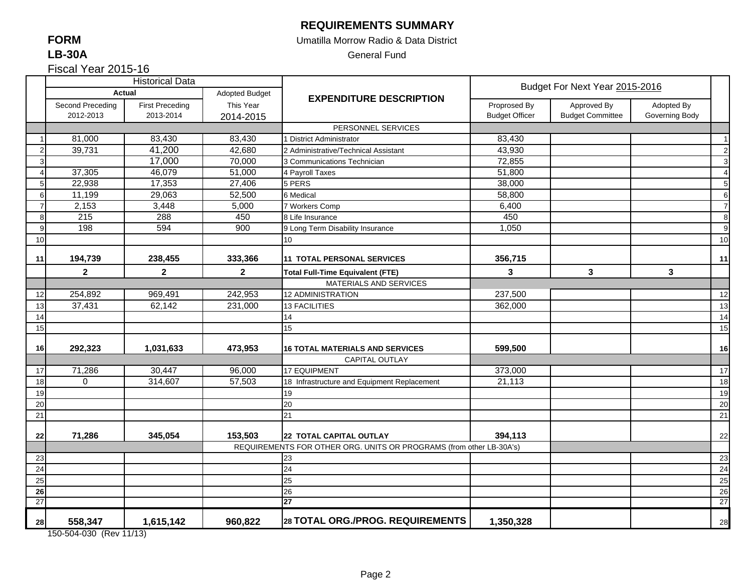#### **REQUIREMENTS SUMMARY**

#### Umatilla Morrow Radio & Data District

General Fund

Fiscal Year 2015-16

|    |                  | <b>Historical Data</b> |                |                                                                     |                       | Budget For Next Year 2015-2016 |                |                |
|----|------------------|------------------------|----------------|---------------------------------------------------------------------|-----------------------|--------------------------------|----------------|----------------|
|    |                  | <b>Actual</b>          | Adopted Budget | <b>EXPENDITURE DESCRIPTION</b>                                      |                       |                                |                |                |
|    | Second Preceding | <b>First Preceding</b> | This Year      |                                                                     | Proprosed By          | Approved By                    | Adopted By     |                |
|    | 2012-2013        | 2013-2014              | 2014-2015      |                                                                     | <b>Budget Officer</b> | <b>Budget Committee</b>        | Governing Body |                |
|    |                  |                        |                | PERSONNEL SERVICES                                                  |                       |                                |                |                |
|    | 81,000           | 83,430                 | 83,430         | 1 District Administrator                                            | 83,430                |                                |                | $\overline{1}$ |
|    | 39,731           | 41,200                 | 42,680         | 2 Administrative/Technical Assistant                                | 43,930                |                                |                | $\overline{c}$ |
| 3  |                  | 17,000                 | 70,000         | 3 Communications Technician                                         | 72,855                |                                |                | $\mathbf{3}$   |
|    | 37,305           | 46,079                 | 51,000         | 4 Payroll Taxes                                                     | 51,800                |                                |                | $\overline{4}$ |
| 5  | 22,938           | 17,353                 | 27,406         | 5 PERS                                                              | 38,000                |                                |                | 5              |
| 6  | 11,199           | 29,063                 | 52,500         | 6 Medical                                                           | 58,800                |                                |                | $\,6$          |
|    | 2,153            | 3,448                  | 5,000          | 7 Workers Comp                                                      | 6,400                 |                                |                | $\overline{7}$ |
| 8  | 215              | 288                    | 450            | 8 Life Insurance                                                    | 450                   |                                |                | $\,8\,$        |
| 9  | 198              | 594                    | 900            | 9 Long Term Disability Insurance                                    | 1,050                 |                                |                | 9              |
| 10 |                  |                        |                | 10 <sup>1</sup>                                                     |                       |                                |                | 10             |
|    |                  |                        |                |                                                                     |                       |                                |                |                |
| 11 | 194,739          | 238,455                | 333,366        | 11 TOTAL PERSONAL SERVICES                                          | 356,715               |                                |                | 11             |
|    | $\mathbf{2}$     | $\overline{2}$         | $\mathbf{2}$   | <b>Total Full-Time Equivalent (FTE)</b>                             | 3                     | $\mathbf{3}$                   | $\mathbf{3}$   |                |
|    |                  |                        |                | MATERIALS AND SERVICES                                              |                       |                                |                |                |
| 12 | 254,892          | 969,491                | 242,953        | <b>12 ADMINISTRATION</b>                                            | 237,500               |                                |                | 12             |
| 13 | 37,431           | 62,142                 | 231,000        | <b>13 FACILITIES</b>                                                | 362,000               |                                |                | 13             |
| 14 |                  |                        |                | 14                                                                  |                       |                                |                | 14             |
| 15 |                  |                        |                | 15                                                                  |                       |                                |                | 15             |
|    |                  |                        |                |                                                                     |                       |                                |                |                |
| 16 | 292,323          | 1,031,633              | 473,953        | <b>16 TOTAL MATERIALS AND SERVICES</b>                              | 599,500               |                                |                | 16             |
|    |                  |                        |                | CAPITAL OUTLAY                                                      |                       |                                |                |                |
| 17 | 71,286           | 30,447                 | 96,000         | <b>17 EQUIPMENT</b>                                                 | 373,000               |                                |                | 17             |
| 18 | $\mathbf 0$      | 314,607                | 57,503         | 18 Infrastructure and Equipment Replacement                         | 21,113                |                                |                | 18             |
| 19 |                  |                        |                | 19                                                                  |                       |                                |                | 19             |
| 20 |                  |                        |                | 20                                                                  |                       |                                |                | 20             |
| 21 |                  |                        |                | 21                                                                  |                       |                                |                | 21             |
| 22 | 71,286           | 345,054                | 153,503        | <b>22 TOTAL CAPITAL OUTLAY</b>                                      | 394,113               |                                |                | 22             |
|    |                  |                        |                | REQUIREMENTS FOR OTHER ORG. UNITS OR PROGRAMS (from other LB-30A's) |                       |                                |                |                |
| 23 |                  |                        |                | 23                                                                  |                       |                                |                | 23             |
| 24 |                  |                        |                | 24                                                                  |                       |                                |                | 24             |
| 25 |                  |                        |                | 25                                                                  |                       |                                |                | 25             |
| 26 |                  |                        |                | 26                                                                  |                       |                                |                | 26             |
| 27 |                  |                        |                | 27                                                                  |                       |                                |                | 27             |
| 28 | 558,347          | 1,615,142              | 960,822        | 28 TOTAL ORG./PROG. REQUIREMENTS                                    | 1,350,328             |                                |                | 28             |

150-504-030 (Rev 11/13)

### **FORMLB-30A**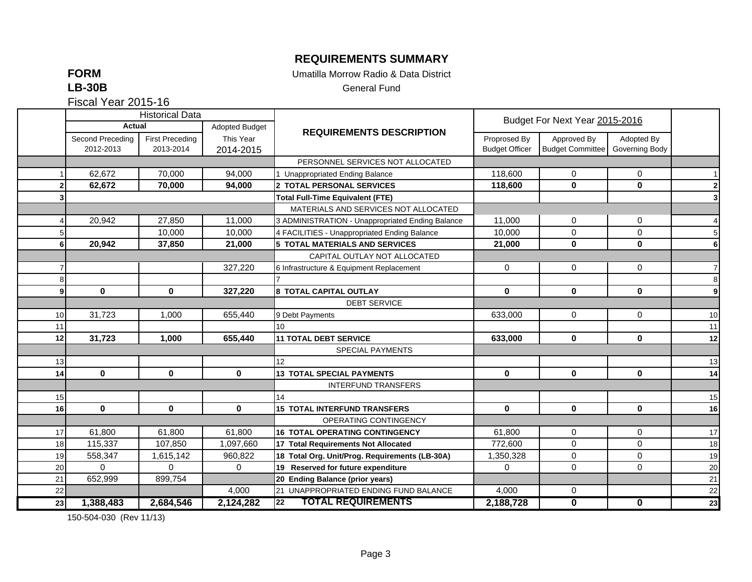## **REQUIREMENTS SUMMARY**

**FORM**

Umatilla Morrow Radio & Data District

**LB-30B**

General Fund

Fiscal Year 2015-16

|                |                  | <b>Historical Data</b> |                |                                                  |                       |                                |                |                |
|----------------|------------------|------------------------|----------------|--------------------------------------------------|-----------------------|--------------------------------|----------------|----------------|
|                | Actual           |                        | Adopted Budget | <b>REQUIREMENTS DESCRIPTION</b>                  |                       | Budget For Next Year 2015-2016 |                |                |
|                | Second Preceding | <b>First Preceding</b> | This Year      |                                                  | Proprosed By          | Approved By                    | Adopted By     |                |
|                | 2012-2013        | 2013-2014              | 2014-2015      |                                                  | <b>Budget Officer</b> | <b>Budget Committee</b>        | Governing Body |                |
|                |                  |                        |                | PERSONNEL SERVICES NOT ALLOCATED                 |                       |                                |                |                |
|                | 62,672           | 70,000                 | 94,000         | 1 Unappropriated Ending Balance                  | 118,600               | 0                              | 0              |                |
|                | 62,672           | 70,000                 | 94,000         | 2 TOTAL PERSONAL SERVICES                        | 118,600               | $\mathbf{0}$                   | $\mathbf 0$    | $\mathbf 2$    |
|                |                  |                        |                | <b>Total Full-Time Equivalent (FTE)</b>          |                       |                                |                | 3              |
|                |                  |                        |                | MATERIALS AND SERVICES NOT ALLOCATED             |                       |                                |                |                |
|                | 20.942           | 27,850                 | 11,000         | 3 ADMINISTRATION - Unappropriated Ending Balance | 11,000                | $\mathbf 0$                    | 0              | 4              |
|                |                  | 10,000                 | 10,000         | 4 FACILITIES - Unappropriated Ending Balance     | 10,000                | $\mathbf 0$                    | 0              | 5              |
| 6              | 20,942           | 37,850                 | 21,000         | <b>5 TOTAL MATERIALS AND SERVICES</b>            | 21,000                | $\bf{0}$                       | $\mathbf{0}$   | 6              |
|                |                  |                        |                | CAPITAL OUTLAY NOT ALLOCATED                     |                       |                                |                |                |
|                |                  |                        | 327,220        | 6 Infrastructure & Equipment Replacement         | 0                     | $\mathbf 0$                    | $\mathbf 0$    | $\overline{7}$ |
|                |                  |                        |                |                                                  |                       |                                |                | 8              |
| 9 <sub>l</sub> | $\mathbf 0$      | $\mathbf 0$            | 327,220        | 8 TOTAL CAPITAL OUTLAY                           | $\mathbf 0$           | $\mathbf 0$                    | $\mathbf 0$    | 9              |
|                |                  |                        |                | <b>DEBT SERVICE</b>                              |                       |                                |                |                |
| 10             | 31,723           | 1,000                  | 655,440        | 9 Debt Payments                                  | 633,000               | $\mathbf 0$                    | $\mathbf 0$    | 10             |
| 11             |                  |                        |                | 10 <sup>10</sup>                                 |                       |                                |                | 11             |
| 12             | 31,723           | 1.000                  | 655,440        | <b>11 TOTAL DEBT SERVICE</b>                     | 633,000               | $\mathbf{0}$                   | $\mathbf{0}$   | 12             |
|                |                  |                        |                | SPECIAL PAYMENTS                                 |                       |                                |                |                |
| 13             |                  |                        |                | 12 <sup>2</sup>                                  |                       |                                |                | 13             |
| 14             | $\bf{0}$         | $\mathbf{0}$           | $\mathbf{0}$   | <b>13 TOTAL SPECIAL PAYMENTS</b>                 | $\mathbf{0}$          | $\bf{0}$                       | $\mathbf 0$    | 14             |
|                |                  |                        |                | <b>INTERFUND TRANSFERS</b>                       |                       |                                |                |                |
| 15             |                  |                        |                | 14                                               |                       |                                |                | 15             |
| 16             | $\mathbf 0$      | $\mathbf 0$            | $\mathbf 0$    | <b>15 TOTAL INTERFUND TRANSFERS</b>              | $\mathbf 0$           | $\mathbf 0$                    | $\mathbf 0$    | 16             |
|                |                  |                        |                | OPERATING CONTINGENCY                            |                       |                                |                |                |
| 17             | 61,800           | 61,800                 | 61,800         | <b>16 TOTAL OPERATING CONTINGENCY</b>            | 61,800                | $\mathbf 0$                    | $\mathbf 0$    | 17             |
| 18             | 115,337          | 107,850                | 1,097,660      | 17 Total Requirements Not Allocated              | 772,600               | $\mathbf 0$                    | 0              | 18             |
| 19             | 558,347          | 1,615,142              | 960,822        | 18 Total Org. Unit/Prog. Requirements (LB-30A)   | 1,350,328             | $\mathbf 0$                    | 0              | 19             |
| 20             | $\Omega$         | $\Omega$               | $\mathbf 0$    | 19 Reserved for future expenditure               | $\mathbf 0$           | $\mathbf 0$                    | 0              | 20             |
| 21             | 652,999          | 899,754                |                | 20 Ending Balance (prior years)                  |                       |                                |                | 21             |
| 22             |                  |                        | 4,000          | 21 UNAPPROPRIATED ENDING FUND BALANCE            | 4,000                 | $\mathbf 0$                    |                | 22             |
| 23             | 1,388,483        | 2,684,546              | 2,124,282      | <b>TOTAL REQUIREMENTS</b><br>22                  | 2,188,728             | $\overline{\mathbf{0}}$        | $\mathbf 0$    | 23             |

150-504-030 (Rev 11/13)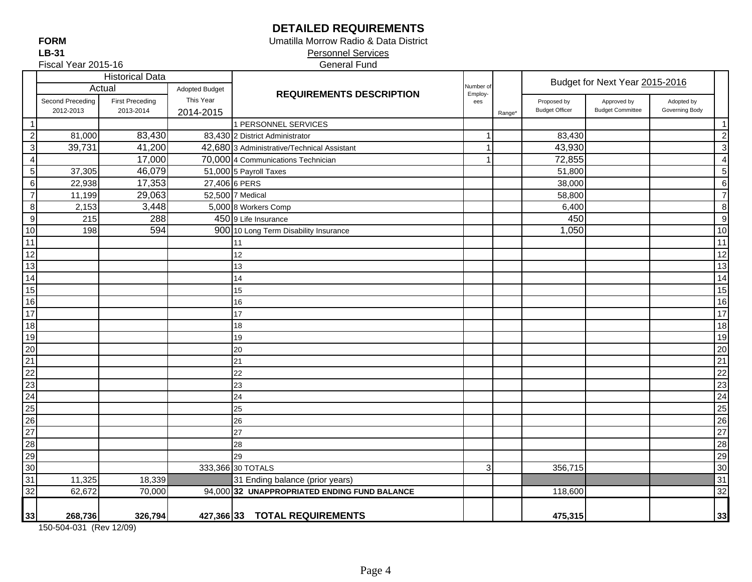## **DETAILED REQUIREMENTS**

 Personnel Services Umatilla Morrow Radio & Data District

|                                                       | Fiscal Year 2015-16 |                        |                       | <b>General Fund</b>                          |                      |                    |                                |                         |                |                  |
|-------------------------------------------------------|---------------------|------------------------|-----------------------|----------------------------------------------|----------------------|--------------------|--------------------------------|-------------------------|----------------|------------------|
|                                                       |                     | <b>Historical Data</b> |                       |                                              |                      |                    | Budget for Next Year 2015-2016 |                         |                |                  |
|                                                       |                     | Actual                 | <b>Adopted Budget</b> | <b>REQUIREMENTS DESCRIPTION</b>              | Number of<br>Employ- |                    |                                |                         |                |                  |
|                                                       | Second Preceding    | <b>First Preceding</b> | This Year             |                                              | ees                  |                    | Proposed by                    | Approved by             | Adopted by     |                  |
|                                                       | 2012-2013           | 2013-2014              | 2014-2015             |                                              |                      | Range <sup>®</sup> | <b>Budget Officer</b>          | <b>Budget Committee</b> | Governing Body |                  |
| 1                                                     |                     |                        |                       | 1 PERSONNEL SERVICES                         |                      |                    |                                |                         |                | $\mathbf{1}$     |
| $\boldsymbol{2}$                                      | 81,000              | 83,430                 |                       | 83,430 2 District Administrator              |                      |                    | 83,430                         |                         |                | $\boldsymbol{2}$ |
| $\ensuremath{\mathsf{3}}$                             | 39,731              | 41,200                 |                       | 42,680 3 Administrative/Technical Assistant  | 1                    |                    | 43,930                         |                         |                | $\overline{3}$   |
| $\overline{4}$                                        |                     | 17,000                 |                       | 70,000 4 Communications Technician           |                      |                    | 72,855                         |                         |                | $\overline{4}$   |
| $\sqrt{5}$                                            | 37,305              | 46,079                 |                       | 51,000 5 Payroll Taxes                       |                      |                    | 51,800                         |                         |                | $\overline{5}$   |
| $\,6\,$                                               | 22,938              | 17,353                 |                       | 27,406 6 PERS                                |                      |                    | 38,000                         |                         |                | $6\phantom{1}6$  |
| $\overline{7}$                                        | 11,199              | 29,063                 |                       | 52,500 7 Medical                             |                      |                    | 58,800                         |                         |                | $\overline{7}$   |
| $\, 8$                                                | 2,153               | 3,448                  |                       | 5,000 8 Workers Comp                         |                      |                    | 6,400                          |                         |                | 8                |
| $\overline{9}$                                        | 215                 | 288                    |                       | 450 9 Life Insurance                         |                      |                    | 450                            |                         |                | 9                |
| 10                                                    | 198                 | 594                    |                       | 900 10 Long Term Disability Insurance        |                      |                    | 1,050                          |                         |                | 10               |
| 11                                                    |                     |                        |                       | 11                                           |                      |                    |                                |                         |                | 11               |
| 12                                                    |                     |                        |                       | 12                                           |                      |                    |                                |                         |                | 12               |
| 13                                                    |                     |                        |                       | 13                                           |                      |                    |                                |                         |                | 13               |
| 14                                                    |                     |                        |                       | 14                                           |                      |                    |                                |                         |                | 14               |
| 15                                                    |                     |                        |                       | 15                                           |                      |                    |                                |                         |                | 15               |
| 16                                                    |                     |                        |                       | 16                                           |                      |                    |                                |                         |                | 16               |
| 17                                                    |                     |                        |                       | 17                                           |                      |                    |                                |                         |                | 17               |
| 18                                                    |                     |                        |                       | 18                                           |                      |                    |                                |                         |                | $\overline{18}$  |
| 19                                                    |                     |                        |                       | 19                                           |                      |                    |                                |                         |                | 19               |
| 20                                                    |                     |                        |                       | 20                                           |                      |                    |                                |                         |                | 20               |
| $\frac{21}{22}$                                       |                     |                        |                       | 21                                           |                      |                    |                                |                         |                | 21               |
|                                                       |                     |                        |                       | 22                                           |                      |                    |                                |                         |                | $\overline{22}$  |
|                                                       |                     |                        |                       | 23                                           |                      |                    |                                |                         |                | 23               |
|                                                       |                     |                        |                       | 24                                           |                      |                    |                                |                         |                | 24               |
| $\frac{23}{24}$<br>$\frac{24}{25}$<br>$\frac{26}{27}$ |                     |                        |                       | 25                                           |                      |                    |                                |                         |                | 25               |
|                                                       |                     |                        |                       | 26                                           |                      |                    |                                |                         |                | 26               |
|                                                       |                     |                        |                       | 27                                           |                      |                    |                                |                         |                | 27               |
| 28                                                    |                     |                        |                       | 28                                           |                      |                    |                                |                         |                | 28               |
| 29                                                    |                     |                        |                       | 29                                           |                      |                    |                                |                         |                | 29               |
| 30                                                    |                     |                        |                       | 333,366 30 TOTALS                            | 3                    |                    | 356,715                        |                         |                | 30               |
| 31                                                    | 11,325              | 18,339                 |                       | 31 Ending balance (prior years)              |                      |                    |                                |                         |                | 31               |
| 32                                                    | 62,672              | 70,000                 |                       | 94,000 32 UNAPPROPRIATED ENDING FUND BALANCE |                      |                    | 118,600                        |                         |                | 32               |
|                                                       |                     |                        |                       |                                              |                      |                    |                                |                         |                |                  |
| 33                                                    | 268,736             | 326,794                |                       | 427,366 33 TOTAL REQUIREMENTS                |                      |                    | 475,315                        |                         |                | 33               |

150-504-031 (Rev 12/09)

Fiscal Year 2015-16

#### **LB-31FORM**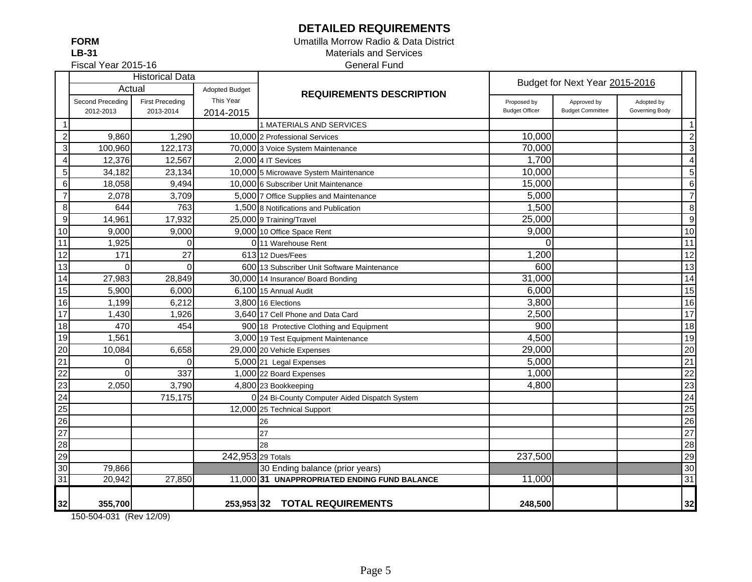## **DETAILED REQUIREMENTS**

**LB-31FORM**

#### Materials and Services General Fund Umatilla Morrow Radio & Data District

Fiscal Year 2015-16

|                 |                  | <b>Historical Data</b> |                       |                                               | Budget for Next Year 2015-2016 |                         |                |                  |
|-----------------|------------------|------------------------|-----------------------|-----------------------------------------------|--------------------------------|-------------------------|----------------|------------------|
|                 | Actual           |                        | <b>Adopted Budget</b> | <b>REQUIREMENTS DESCRIPTION</b>               |                                |                         |                |                  |
|                 | Second Preceding | <b>First Preceding</b> | This Year             |                                               | Proposed by                    | Approved by             | Adopted by     |                  |
|                 | 2012-2013        | 2013-2014              | 2014-2015             |                                               | <b>Budget Officer</b>          | <b>Budget Committee</b> | Governing Body |                  |
| $\mathbf{1}$    |                  |                        |                       | 1 MATERIALS AND SERVICES                      |                                |                         |                | $\mathbf{1}$     |
| $\mathbf{2}$    | 9,860            | 1,290                  |                       | 10,000 2 Professional Services                | 10,000                         |                         |                | $\sqrt{2}$       |
| <u>კ</u>        | 100,960          | 122,173                |                       | 70,000 3 Voice System Maintenance             | 70,000                         |                         |                | $\mathbf{3}$     |
| $\overline{4}$  | 12,376           | 12,567                 |                       | 2.000 4 IT Sevices                            | 1,700                          |                         |                | $\overline{4}$   |
| $\sqrt{5}$      | 34,182           | 23,134                 |                       | 10,000 5 Microwave System Maintenance         | 10,000                         |                         |                | 5                |
| $\sigma$        | 18,058           | 9,494                  |                       | 10,000 6 Subscriber Unit Maintenance          | 15,000                         |                         |                | $6\phantom{1}6$  |
| $\overline{7}$  | 2,078            | 3,709                  |                       | 5,000 7 Office Supplies and Maintenance       | 5,000                          |                         |                | $\overline{7}$   |
| $\infty$        | 644              | 763                    |                       | 1,500 8 Notifications and Publication         | 1,500                          |                         |                | $\, 8$           |
| $\overline{9}$  | 14,961           | 17,932                 |                       | 25,000 9 Training/Travel                      | 25,000                         |                         |                | $\boldsymbol{9}$ |
| 10              | 9,000            | 9,000                  |                       | 9,000 10 Office Space Rent                    | 9,000                          |                         |                | 10               |
| $\overline{11}$ | 1,925            | $\Omega$               |                       | 011 Warehouse Rent                            | 0                              |                         |                | 11               |
| $\overline{12}$ | 171              | 27                     |                       | 61312 Dues/Fees                               | 1,200                          |                         |                | 12               |
| 13              | $\Omega$         | $\mathbf{0}$           |                       | 600 13 Subscriber Unit Software Maintenance   | 600                            |                         |                | 13               |
| 14              | 27,983           | 28,849                 |                       | 30,000 14 Insurance/ Board Bonding            | 31,000                         |                         |                | 14               |
| 15              | 5,900            | 6,000                  |                       | 6.100 15 Annual Audit                         | 6,000                          |                         |                | 15               |
| 16              | 1,199            | 6,212                  |                       | 3,800 16 Elections                            | 3,800                          |                         |                | 16               |
| $\overline{17}$ | 1,430            | 1,926                  |                       | 3,640 17 Cell Phone and Data Card             | 2,500                          |                         |                | 17               |
| 18              | 470              | 454                    |                       | 900 18 Protective Clothing and Equipment      | 900                            |                         |                | 18               |
| 19              | 1,561            |                        |                       | 3,000 19 Test Equipment Maintenance           | 4,500                          |                         |                | 19               |
| 20              | 10,084           | 6,658                  |                       | 29,000 20 Vehicle Expenses                    | 29,000                         |                         |                | 20               |
| $\overline{21}$ | $\Omega$         | $\Omega$               |                       | 5,000 21 Legal Expenses                       | 5,000                          |                         |                | $\overline{21}$  |
| $\overline{22}$ | $\Omega$         | 337                    |                       | 1,000 22 Board Expenses                       | 1,000                          |                         |                | $\overline{22}$  |
| $\overline{23}$ | 2,050            | 3,790                  |                       | 4,800 23 Bookkeeping                          | 4,800                          |                         |                | 23               |
| $\overline{24}$ |                  | 715,175                |                       | 0 24 Bi-County Computer Aided Dispatch System |                                |                         |                | $\overline{24}$  |
| $\overline{25}$ |                  |                        |                       | 12,000 25 Technical Support                   |                                |                         |                | 25               |
| $\overline{26}$ |                  |                        |                       | 26                                            |                                |                         |                | $\overline{26}$  |
| $\overline{27}$ |                  |                        |                       | 27                                            |                                |                         |                | $\overline{27}$  |
| $\overline{28}$ |                  |                        |                       | 28                                            |                                |                         |                | 28               |
| 29              |                  |                        | 242,953 29 Totals     |                                               | 237,500                        |                         |                | 29               |
| 30              | 79,866           |                        |                       | 30 Ending balance (prior years)               |                                |                         |                | 30               |
| 31              | 20,942           | 27,850                 |                       | 11,000 31 UNAPPROPRIATED ENDING FUND BALANCE  | 11,000                         |                         |                | 31               |
| 32              | 355,700          |                        |                       | 253,953 32 TOTAL REQUIREMENTS                 | 248,500                        |                         |                | 32               |

150-504-031 (Rev 12/09)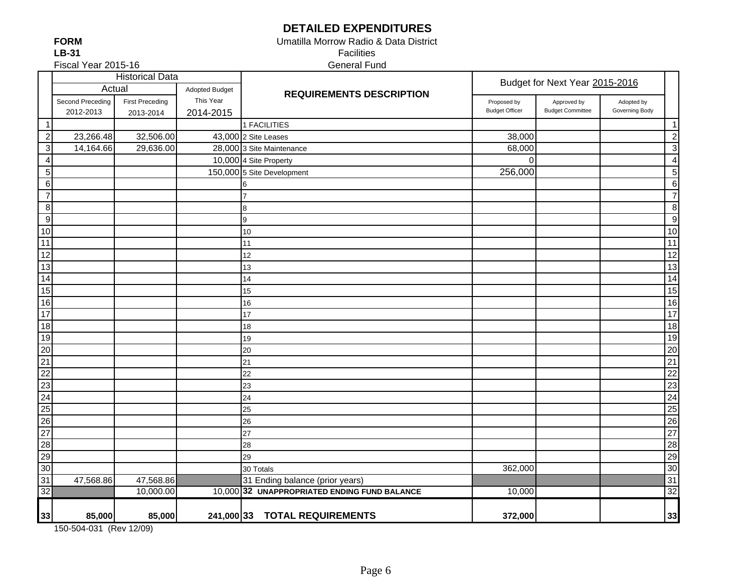# **DETAILED EXPENDITURES**

 Facilities Umatilla Morrow Radio & Data District

General Fund

|                 |                  | <b>Historical Data</b> |                       |                                              |                       | Budget for Next Year 2015-2016 |                |                 |
|-----------------|------------------|------------------------|-----------------------|----------------------------------------------|-----------------------|--------------------------------|----------------|-----------------|
|                 | Actual           |                        | <b>Adopted Budget</b> | <b>REQUIREMENTS DESCRIPTION</b>              |                       |                                |                |                 |
|                 | Second Preceding | <b>First Preceding</b> | This Year             |                                              | Proposed by           | Approved by                    | Adopted by     |                 |
|                 | 2012-2013        | 2013-2014              | 2014-2015             |                                              | <b>Budget Officer</b> | <b>Budget Committee</b>        | Governing Body |                 |
| $\mathbf{1}$    |                  |                        |                       | 1 FACILITIES                                 |                       |                                |                | $\mathbf 1$     |
| $\overline{c}$  | 23,266.48        | 32,506.00              |                       | 43,000 2 Site Leases                         | 38,000                |                                |                | $\overline{c}$  |
| $\mathbf 3$     | 14,164.66        | 29,636.00              |                       | 28,000 3 Site Maintenance                    | 68,000                |                                |                | 3               |
| $\overline{4}$  |                  |                        |                       | 10,000 4 Site Property                       | $\Omega$              |                                |                | $\overline{4}$  |
| $\sqrt{5}$      |                  |                        |                       | 150,000 5 Site Development                   | 256,000               |                                |                | $\overline{5}$  |
| $\,6\,$         |                  |                        |                       |                                              |                       |                                |                | $\overline{6}$  |
| $\overline{7}$  |                  |                        |                       |                                              |                       |                                |                | $\overline{7}$  |
| $\bf 8$         |                  |                        |                       | 8                                            |                       |                                |                | $\, 8$          |
| 9               |                  |                        |                       | 9                                            |                       |                                |                | $\overline{9}$  |
| 10              |                  |                        |                       | 10                                           |                       |                                |                | 10              |
| 11              |                  |                        |                       | 11                                           |                       |                                |                | $\overline{11}$ |
| 12              |                  |                        |                       | 12                                           |                       |                                |                | 12              |
| 13              |                  |                        |                       | 13                                           |                       |                                |                | $\overline{13}$ |
| 14              |                  |                        |                       | 14                                           |                       |                                |                | $\overline{14}$ |
| 15              |                  |                        |                       | 15                                           |                       |                                |                | 15              |
| 16              |                  |                        |                       | 16                                           |                       |                                |                | 16              |
| 17              |                  |                        |                       | 17                                           |                       |                                |                | 17              |
| 18              |                  |                        |                       | 18                                           |                       |                                |                | 18              |
| $\overline{19}$ |                  |                        |                       | 19                                           |                       |                                |                | 19              |
| 20              |                  |                        |                       | 20                                           |                       |                                |                | 20              |
| $\overline{21}$ |                  |                        |                       | 21                                           |                       |                                |                | $\overline{21}$ |
| 22              |                  |                        |                       | 22                                           |                       |                                |                | 22              |
| 23              |                  |                        |                       | 23                                           |                       |                                |                | 23              |
| 24              |                  |                        |                       | 24                                           |                       |                                |                | $\overline{24}$ |
| 25              |                  |                        |                       | 25                                           |                       |                                |                | $\overline{25}$ |
| 26              |                  |                        |                       | 26                                           |                       |                                |                | $\overline{26}$ |
| $\overline{27}$ |                  |                        |                       | 27                                           |                       |                                |                | $\overline{27}$ |
| 28              |                  |                        |                       | 28                                           |                       |                                |                | $\overline{28}$ |
| 29              |                  |                        |                       | 29                                           |                       |                                |                | 29              |
| 30              |                  |                        |                       | 30 Totals                                    | 362,000               |                                |                | 30              |
| 31              | 47,568.86        | 47,568.86              |                       | 31 Ending balance (prior years)              |                       |                                |                | 31              |
| 32              |                  | 10,000.00              |                       | 10,000 32 UNAPPROPRIATED ENDING FUND BALANCE | 10,000                |                                |                | 32              |
|                 |                  |                        |                       |                                              |                       |                                |                |                 |
| 33              | 85,000           | 85,000                 |                       | 241,000 33 TOTAL REQUIREMENTS                | 372,000               |                                |                | 33              |

150-504-031 (Rev 12/09)

Fiscal Year 2015-16

**LB-31FORM**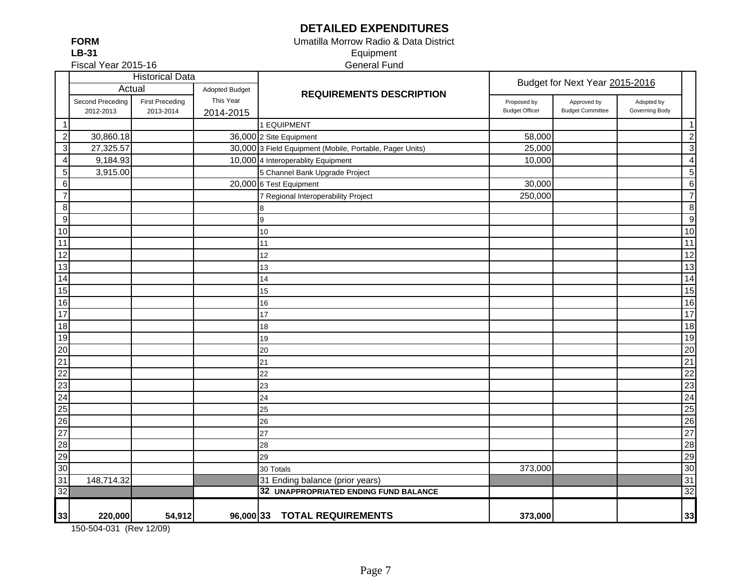## **DETAILED EXPENDITURES**

**LB-31FORM**

#### Equipment General Fund Umatilla Morrow Radio & Data District

Fiscal Year 2015-16

|                                               | <b>Historical Data</b> |                        |                       |                                                          | Budget for Next Year 2015-2016 |                         |                |                         |
|-----------------------------------------------|------------------------|------------------------|-----------------------|----------------------------------------------------------|--------------------------------|-------------------------|----------------|-------------------------|
|                                               | Actual                 |                        | <b>Adopted Budget</b> | <b>REQUIREMENTS DESCRIPTION</b>                          |                                |                         |                |                         |
|                                               | Second Preceding       | <b>First Preceding</b> | This Year             |                                                          | Proposed by                    | Approved by             | Adopted by     |                         |
|                                               | 2012-2013              | 2013-2014              | 2014-2015             |                                                          | <b>Budget Officer</b>          | <b>Budget Committee</b> | Governing Body |                         |
| -1                                            |                        |                        |                       | 1 EQUIPMENT                                              |                                |                         |                | $\mathbf{1}$            |
| $\sqrt{2}$                                    | 30,860.18              |                        |                       | 36,000 2 Site Equipment                                  | 58,000                         |                         |                | $\overline{\mathbf{c}}$ |
| $\ensuremath{\mathsf{3}}$                     | 27,325.57              |                        |                       | 30,000 3 Field Equipment (Mobile, Portable, Pager Units) | 25,000                         |                         |                | $\mathbf{3}$            |
| 4                                             | 9,184.93               |                        |                       | 10,000 4 Interoperablity Equipment                       | 10,000                         |                         |                | $\overline{4}$          |
| $\mathbf 5$                                   | 3,915.00               |                        |                       | 5 Channel Bank Upgrade Project                           |                                |                         |                | 5                       |
| $\,6$                                         |                        |                        |                       | 20,000 6 Test Equipment                                  | 30,000                         |                         |                | $\,6$                   |
| $\overline{7}$                                |                        |                        |                       | 7 Regional Interoperability Project                      | 250,000                        |                         |                | $\overline{7}$          |
| $\bf 8$                                       |                        |                        |                       | 8                                                        |                                |                         |                | $\bf 8$                 |
| $\boldsymbol{9}$                              |                        |                        |                       | 9                                                        |                                |                         |                | $\boldsymbol{9}$        |
| 10                                            |                        |                        |                       | 10                                                       |                                |                         |                | 10                      |
| 11                                            |                        |                        |                       | 11                                                       |                                |                         |                | 11                      |
| 12                                            |                        |                        |                       | 12                                                       |                                |                         |                | $\overline{12}$         |
| 13                                            |                        |                        |                       | 13                                                       |                                |                         |                | $\overline{13}$         |
| 14                                            |                        |                        |                       | 14                                                       |                                |                         |                | 14                      |
| 15                                            |                        |                        |                       | 15                                                       |                                |                         |                | 15                      |
| 16                                            |                        |                        |                       | 16                                                       |                                |                         |                | 16                      |
| 17                                            |                        |                        |                       | 17                                                       |                                |                         |                | $\overline{17}$         |
| 18                                            |                        |                        |                       | 18                                                       |                                |                         |                | 18                      |
| 19                                            |                        |                        |                       | 19                                                       |                                |                         |                | 19                      |
| $\frac{20}{21}$                               |                        |                        |                       | 20                                                       |                                |                         |                | $\overline{20}$         |
|                                               |                        |                        |                       | 21                                                       |                                |                         |                | $\overline{21}$         |
|                                               |                        |                        |                       | 22                                                       |                                |                         |                | $\overline{22}$         |
|                                               |                        |                        |                       | 23                                                       |                                |                         |                | 23                      |
| $\begin{array}{r} 22 \\ 23 \\ 24 \end{array}$ |                        |                        |                       | 24                                                       |                                |                         |                | $\overline{24}$         |
|                                               |                        |                        |                       | 25                                                       |                                |                         |                | $\overline{25}$         |
|                                               |                        |                        |                       | 26                                                       |                                |                         |                | 26                      |
|                                               |                        |                        |                       | 27                                                       |                                |                         |                | 27                      |
|                                               |                        |                        |                       | 28                                                       |                                |                         |                | 28                      |
|                                               |                        |                        |                       | 29                                                       |                                |                         |                | 29                      |
| 25<br>26<br>27<br>28<br>29<br>30<br>31<br>32  |                        |                        |                       | 30 Totals                                                | 373,000                        |                         |                | 30                      |
|                                               | 148,714.32             |                        |                       | 31 Ending balance (prior years)                          |                                |                         |                | 31                      |
|                                               |                        |                        |                       | 32 UNAPPROPRIATED ENDING FUND BALANCE                    |                                |                         |                | 32                      |
| 33                                            | 220,000                | 54,912                 |                       | 96,000 33 TOTAL REQUIREMENTS                             | 373,000                        |                         |                | 33                      |

150-504-031 (Rev 12/09)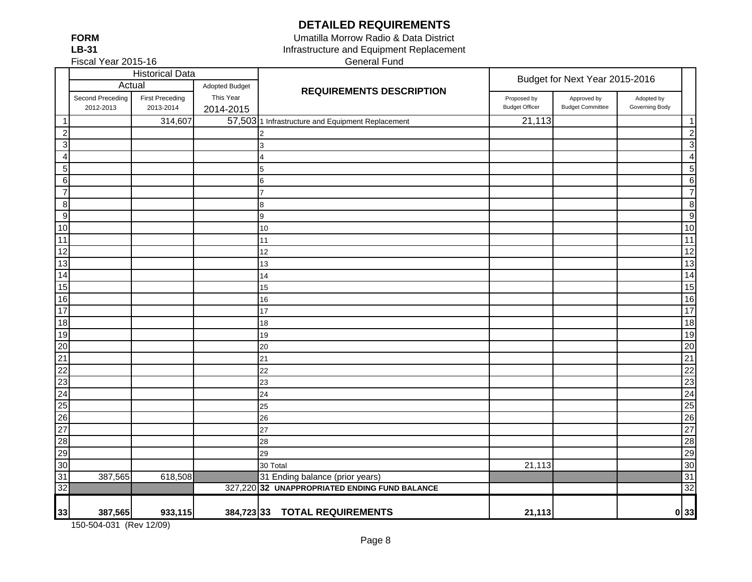**DETAILED REQUIREMENTS**

**FORMLB-31**

Fiscal Year 2015-16

Infrastructure and Equipment Replacement General Fund Umatilla Morrow Radio & Data District

|                                    | <b>Historical Data</b>        |                                     |                                                   |                                                   | Budget for Next Year 2015-2016       |                                        |                              |                          |
|------------------------------------|-------------------------------|-------------------------------------|---------------------------------------------------|---------------------------------------------------|--------------------------------------|----------------------------------------|------------------------------|--------------------------|
|                                    | Actual                        |                                     | Adopted Budget<br><b>REQUIREMENTS DESCRIPTION</b> |                                                   |                                      |                                        |                              |                          |
|                                    | Second Preceding<br>2012-2013 | <b>First Preceding</b><br>2013-2014 | This Year<br>2014-2015                            |                                                   | Proposed by<br><b>Budget Officer</b> | Approved by<br><b>Budget Committee</b> | Adopted by<br>Governing Body |                          |
| -1                                 |                               | 314,607                             |                                                   | 57,503 1 Infrastructure and Equipment Replacement | 21,113                               |                                        |                              | $\overline{\phantom{1}}$ |
| $\overline{c}$                     |                               |                                     |                                                   | $\mathcal{P}$                                     |                                      |                                        |                              | $\overline{2}$           |
| $\mathbf{3}$                       |                               |                                     |                                                   | 3                                                 |                                      |                                        |                              | 3                        |
| $\overline{4}$                     |                               |                                     |                                                   | 4                                                 |                                      |                                        |                              | $\overline{4}$           |
| 5 <sub>5</sub>                     |                               |                                     |                                                   | 5                                                 |                                      |                                        |                              | 5                        |
| $6 \mid$                           |                               |                                     |                                                   | $6\phantom{.0}$                                   |                                      |                                        |                              | 6                        |
| $\overline{7}$                     |                               |                                     |                                                   | $\overline{7}$                                    |                                      |                                        |                              | $\overline{7}$           |
| 8                                  |                               |                                     |                                                   | 8                                                 |                                      |                                        |                              | 8                        |
| 9                                  |                               |                                     |                                                   | 9                                                 |                                      |                                        |                              | 9                        |
| 10                                 |                               |                                     |                                                   | 10                                                |                                      |                                        |                              | 10                       |
| 11                                 |                               |                                     |                                                   | 11                                                |                                      |                                        |                              | 11                       |
| 12                                 |                               |                                     |                                                   | 12                                                |                                      |                                        |                              | $\overline{12}$          |
| 13                                 |                               |                                     |                                                   | 13                                                |                                      |                                        |                              | 13                       |
| 14                                 |                               |                                     |                                                   | 14                                                |                                      |                                        |                              | 14                       |
| 15                                 |                               |                                     |                                                   | 15                                                |                                      |                                        |                              | 15                       |
| 16                                 |                               |                                     |                                                   | 16                                                |                                      |                                        |                              | 16                       |
| $\frac{1}{17}$                     |                               |                                     |                                                   | 17                                                |                                      |                                        |                              | 17                       |
| 18                                 |                               |                                     |                                                   | 18                                                |                                      |                                        |                              | 18                       |
| 19                                 |                               |                                     |                                                   | 19                                                |                                      |                                        |                              | 19                       |
| $\overline{20}$                    |                               |                                     |                                                   | 20                                                |                                      |                                        |                              | 20                       |
| $\overline{21}$                    |                               |                                     |                                                   | 21                                                |                                      |                                        |                              | 21                       |
| $\overline{22}$                    |                               |                                     |                                                   | 22                                                |                                      |                                        |                              | 22                       |
|                                    |                               |                                     |                                                   | 23                                                |                                      |                                        |                              | 23                       |
|                                    |                               |                                     |                                                   | 24                                                |                                      |                                        |                              | 24                       |
| $\frac{23}{24}$<br>$\frac{25}{25}$ |                               |                                     |                                                   | 25                                                |                                      |                                        |                              | 25                       |
| 26                                 |                               |                                     |                                                   | 26                                                |                                      |                                        |                              | 26                       |
| $\overline{27}$                    |                               |                                     |                                                   | 27                                                |                                      |                                        |                              | 27                       |
| 28                                 |                               |                                     |                                                   | 28                                                |                                      |                                        |                              | 28                       |
| 29                                 |                               |                                     |                                                   | 29                                                |                                      |                                        |                              | 29                       |
| 30                                 |                               |                                     |                                                   | 30 Total                                          | 21,113                               |                                        |                              | 30                       |
| 31                                 | 387,565                       | 618,508                             |                                                   | 31 Ending balance (prior years)                   |                                      |                                        |                              | 31                       |
| $\overline{32}$                    |                               |                                     |                                                   | 327,220 32 UNAPPROPRIATED ENDING FUND BALANCE     |                                      |                                        |                              | $\overline{32}$          |
| 33                                 | 387,565                       | 933,115                             | 384,723 33                                        | <b>TOTAL REQUIREMENTS</b>                         | 21,113                               |                                        |                              | 0 33                     |

150-504-031 (Rev 12/09)